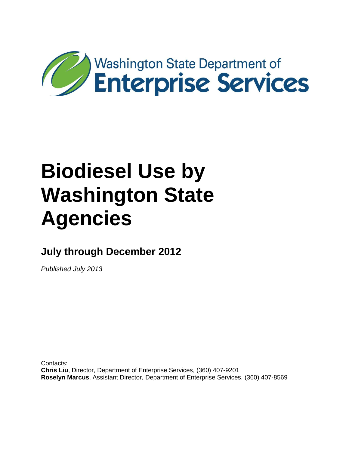

**July through December 2012**

*Published July 2013*

Contacts: **Chris Liu**, Director, Department of Enterprise Services, (360) 407-9201 **Roselyn Marcus**, Assistant Director, Department of Enterprise Services, (360) 407-8569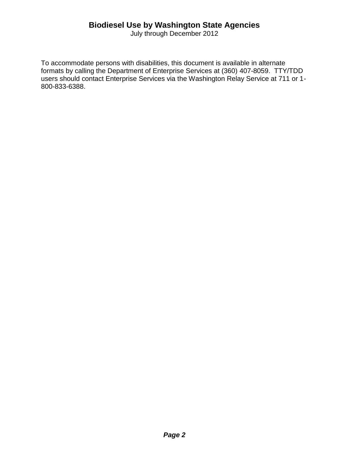July through December 2012

To accommodate persons with disabilities, this document is available in alternate formats by calling the Department of Enterprise Services at (360) 407-8059. TTY/TDD users should contact Enterprise Services via the Washington Relay Service at 711 or 1- 800-833-6388.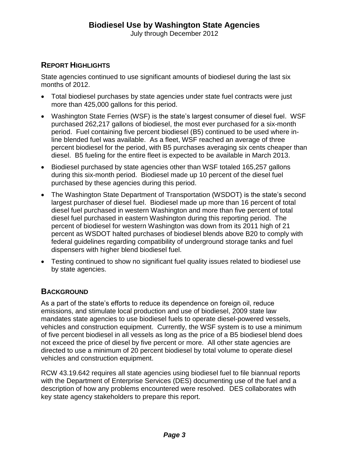July through December 2012

#### **REPORT HIGHLIGHTS**

State agencies continued to use significant amounts of biodiesel during the last six months of 2012.

- Total biodiesel purchases by state agencies under state fuel contracts were just more than 425,000 gallons for this period.
- Washington State Ferries (WSF) is the state's largest consumer of diesel fuel. WSF purchased 262,217 gallons of biodiesel, the most ever purchased for a six-month period. Fuel containing five percent biodiesel (B5) continued to be used where inline blended fuel was available. As a fleet, WSF reached an average of three percent biodiesel for the period, with B5 purchases averaging six cents cheaper than diesel. B5 fueling for the entire fleet is expected to be available in March 2013.
- Biodiesel purchased by state agencies other than WSF totaled 165,257 gallons during this six-month period. Biodiesel made up 10 percent of the diesel fuel purchased by these agencies during this period.
- The Washington State Department of Transportation (WSDOT) is the state's second largest purchaser of diesel fuel. Biodiesel made up more than 16 percent of total diesel fuel purchased in western Washington and more than five percent of total diesel fuel purchased in eastern Washington during this reporting period. The percent of biodiesel for western Washington was down from its 2011 high of 21 percent as WSDOT halted purchases of biodiesel blends above B20 to comply with federal guidelines regarding compatibility of underground storage tanks and fuel dispensers with higher blend biodiesel fuel.
- Testing continued to show no significant fuel quality issues related to biodiesel use by state agencies.

#### **BACKGROUND**

As a part of the state's efforts to reduce its dependence on foreign oil, reduce emissions, and stimulate local production and use of biodiesel, 2009 state law mandates state agencies to use biodiesel fuels to operate diesel-powered vessels, vehicles and construction equipment. Currently, the WSF system is to use a minimum of five percent biodiesel in all vessels as long as the price of a B5 biodiesel blend does not exceed the price of diesel by five percent or more. All other state agencies are directed to use a minimum of 20 percent biodiesel by total volume to operate diesel vehicles and construction equipment.

RCW 43.19.642 requires all state agencies using biodiesel fuel to file biannual reports with the Department of Enterprise Services (DES) documenting use of the fuel and a description of how any problems encountered were resolved. DES collaborates with key state agency stakeholders to prepare this report.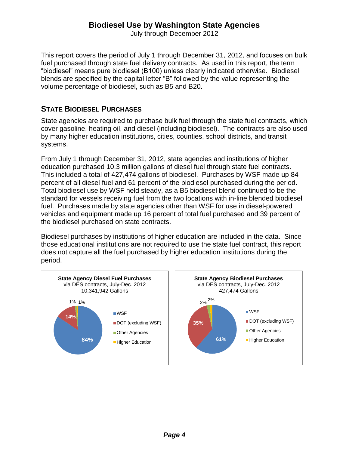July through December 2012

This report covers the period of July 1 through December 31, 2012, and focuses on bulk fuel purchased through state fuel delivery contracts. As used in this report, the term "biodiesel" means pure biodiesel (B100) unless clearly indicated otherwise. Biodiesel blends are specified by the capital letter "B" followed by the value representing the volume percentage of biodiesel, such as B5 and B20.

## **STATE BIODIESEL PURCHASES**

State agencies are required to purchase bulk fuel through the state fuel contracts, which cover gasoline, heating oil, and diesel (including biodiesel). The contracts are also used by many higher education institutions, cities, counties, school districts, and transit systems.

From July 1 through December 31, 2012, state agencies and institutions of higher education purchased 10.3 million gallons of diesel fuel through state fuel contracts. This included a total of 427,474 gallons of biodiesel. Purchases by WSF made up 84 percent of all diesel fuel and 61 percent of the biodiesel purchased during the period. Total biodiesel use by WSF held steady, as a B5 biodiesel blend continued to be the standard for vessels receiving fuel from the two locations with in-line blended biodiesel fuel. Purchases made by state agencies other than WSF for use in diesel-powered vehicles and equipment made up 16 percent of total fuel purchased and 39 percent of the biodiesel purchased on state contracts.

Biodiesel purchases by institutions of higher education are included in the data. Since those educational institutions are not required to use the state fuel contract, this report does not capture all the fuel purchased by higher education institutions during the period.

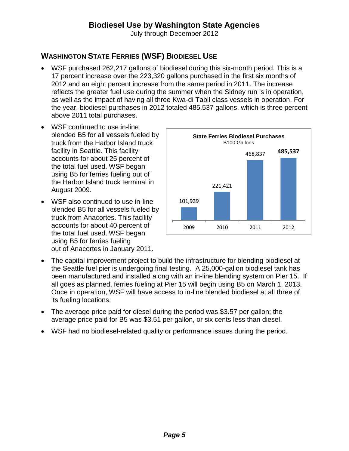July through December 2012

# **WASHINGTON STATE FERRIES (WSF) BIODIESEL USE**

- WSF purchased 262,217 gallons of biodiesel during this six-month period. This is a 17 percent increase over the 223,320 gallons purchased in the first six months of 2012 and an eight percent increase from the same period in 2011. The increase reflects the greater fuel use during the summer when the Sidney run is in operation, as well as the impact of having all three Kwa-di Tabil class vessels in operation. For the year, biodiesel purchases in 2012 totaled 485,537 gallons, which is three percent above 2011 total purchases.
- WSF continued to use in-line blended B5 for all vessels fueled by truck from the Harbor Island truck facility in Seattle. This facility accounts for about 25 percent of the total fuel used. WSF began using B5 for ferries fueling out of the Harbor Island truck terminal in August 2009.
- WSF also continued to use in-line blended B5 for all vessels fueled by truck from Anacortes. This facility accounts for about 40 percent of the total fuel used. WSF began using B5 for ferries fueling out of Anacortes in January 2011.



- The capital improvement project to build the infrastructure for blending biodiesel at the Seattle fuel pier is undergoing final testing. A 25,000-gallon biodiesel tank has been manufactured and installed along with an in-line blending system on Pier 15. If all goes as planned, ferries fueling at Pier 15 will begin using B5 on March 1, 2013. Once in operation, WSF will have access to in-line blended biodiesel at all three of its fueling locations.
- The average price paid for diesel during the period was \$3.57 per gallon; the average price paid for B5 was \$3.51 per gallon, or six cents less than diesel.
- WSF had no biodiesel-related quality or performance issues during the period.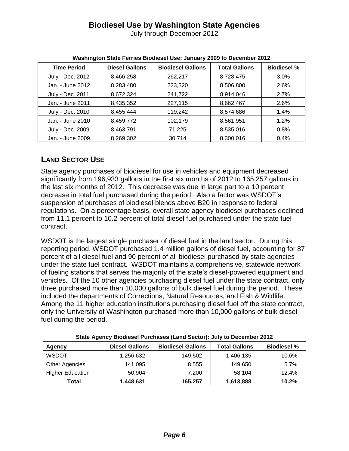July through December 2012

| <b>Time Period</b> | <b>Diesel Gallons</b> | <b>Biodiesel Gallons</b> | <b>Total Gallons</b> | <b>Biodiesel %</b> |
|--------------------|-----------------------|--------------------------|----------------------|--------------------|
| July - Dec. 2012   | 8,466,258             | 262,217                  | 8,728,475            | $3.0\%$            |
| Jan. - June 2012   | 8,283,480             | 223,320                  | 8,506,800            | 2.6%               |
| July - Dec. 2011   | 8,672,324             | 241,722                  | 8,914,046            | 2.7%               |
| Jan. - June 2011   | 8,435,352             | 227,115                  | 8,662,467            | 2.6%               |
| July - Dec. 2010   | 8,455,444             | 119,242                  | 8,574,686            | 1.4%               |
| Jan. - June 2010   | 8,459,772             | 102,179                  | 8,561,951            | 1.2%               |
| July - Dec. 2009   | 8,463,791             | 71,225                   | 8,535,016            | 0.8%               |
| Jan. - June 2009   | 8,269,302             | 30,714                   | 8,300,016            | 0.4%               |

# **LAND SECTOR USE**

State agency purchases of biodiesel for use in vehicles and equipment decreased significantly from 196,933 gallons in the first six months of 2012 to 165,257 gallons in the last six months of 2012. This decrease was due in large part to a 10 percent decrease in total fuel purchased during the period. Also a factor was WSDOT's suspension of purchases of biodiesel blends above B20 in response to federal regulations. On a percentage basis, overall state agency biodiesel purchases declined from 11.1 percent to 10.2 percent of total diesel fuel purchased under the state fuel contract.

WSDOT is the largest single purchaser of diesel fuel in the land sector. During this reporting period, WSDOT purchased 1.4 million gallons of diesel fuel, accounting for 87 percent of all diesel fuel and 90 percent of all biodiesel purchased by state agencies under the state fuel contract. WSDOT maintains a comprehensive, statewide network of fueling stations that serves the majority of the state's diesel-powered equipment and vehicles. Of the 10 other agencies purchasing diesel fuel under the state contract, only three purchased more than 10,000 gallons of bulk diesel fuel during the period. These included the departments of Corrections, Natural Resources, and Fish & Wildlife. Among the 11 higher education institutions purchasing diesel fuel off the state contract, only the University of Washington purchased more than 10,000 gallons of bulk diesel fuel during the period.

| <b>Agency</b>           | <b>Diesel Gallons</b> | <b>Biodiesel Gallons</b> | <b>Total Gallons</b> | <b>Biodiesel %</b> |
|-------------------------|-----------------------|--------------------------|----------------------|--------------------|
| <b>WSDOT</b>            | 1,256,632             | 149.502                  | 1,406,135            | 10.6%              |
| Other Agencies          | 141,095               | 8,555                    | 149,650              | 5.7%               |
| <b>Higher Education</b> | 50.904                | 7.200                    | 58,104               | 12.4%              |
| Total                   | 1,448,631             | 165,257                  | 1,613,888            | 10.2%              |

**State Agency Biodiesel Purchases (Land Sector): July to December 2012**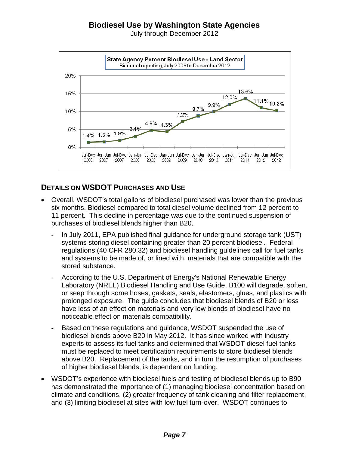July through December 2012



## **DETAILS ON WSDOT PURCHASES AND USE**

- Overall, WSDOT's total gallons of biodiesel purchased was lower than the previous six months. Biodiesel compared to total diesel volume declined from 12 percent to 11 percent. This decline in percentage was due to the continued suspension of purchases of biodiesel blends higher than B20.
	- In July 2011, EPA published final guidance for underground storage tank (UST) systems storing diesel containing greater than 20 percent biodiesel. Federal regulations (40 CFR 280.32) and biodiesel handling guidelines call for fuel tanks and systems to be made of, or lined with, materials that are compatible with the stored substance.
	- According to the U.S. Department of Energy's National Renewable Energy Laboratory (NREL) Biodiesel Handling and Use Guide, B100 will degrade, soften, or seep through some hoses, gaskets, seals, elastomers, glues, and plastics with prolonged exposure. The guide concludes that biodiesel blends of B20 or less have less of an effect on materials and very low blends of biodiesel have no noticeable effect on materials compatibility.
	- Based on these regulations and guidance, WSDOT suspended the use of biodiesel blends above B20 in May 2012. It has since worked with industry experts to assess its fuel tanks and determined that WSDOT diesel fuel tanks must be replaced to meet certification requirements to store biodiesel blends above B20. Replacement of the tanks, and in turn the resumption of purchases of higher biodiesel blends, is dependent on funding.
- WSDOT's experience with biodiesel fuels and testing of biodiesel blends up to B90 has demonstrated the importance of (1) managing biodiesel concentration based on climate and conditions, (2) greater frequency of tank cleaning and filter replacement, and (3) limiting biodiesel at sites with low fuel turn-over. WSDOT continues to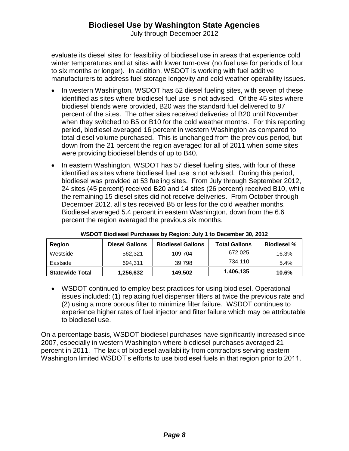July through December 2012

evaluate its diesel sites for feasibility of biodiesel use in areas that experience cold winter temperatures and at sites with lower turn-over (no fuel use for periods of four to six months or longer). In addition, WSDOT is working with fuel additive manufacturers to address fuel storage longevity and cold weather operability issues.

- In western Washington, WSDOT has 52 diesel fueling sites, with seven of these identified as sites where biodiesel fuel use is not advised. Of the 45 sites where biodiesel blends were provided, B20 was the standard fuel delivered to 87 percent of the sites. The other sites received deliveries of B20 until November when they switched to B5 or B10 for the cold weather months. For this reporting period, biodiesel averaged 16 percent in western Washington as compared to total diesel volume purchased. This is unchanged from the previous period, but down from the 21 percent the region averaged for all of 2011 when some sites were providing biodiesel blends of up to B40*.*
- In eastern Washington, WSDOT has 57 diesel fueling sites, with four of these identified as sites where biodiesel fuel use is not advised. During this period, biodiesel was provided at 53 fueling sites. From July through September 2012, 24 sites (45 percent) received B20 and 14 sites (26 percent) received B10, while the remaining 15 diesel sites did not receive deliveries. From October through December 2012, all sites received B5 or less for the cold weather months. Biodiesel averaged 5.4 percent in eastern Washington, down from the 6.6 percent the region averaged the previous six months.

| Region                 | <b>Diesel Gallons</b> | <b>Biodiesel Gallons</b> | <b>Total Gallons</b> | <b>Biodiesel</b> % |
|------------------------|-----------------------|--------------------------|----------------------|--------------------|
| Westside               | 562.321               | 109.704                  | 672.025              | 16.3%              |
| Eastside               | 694.311               | 39.798                   | 734.110              | 5.4%               |
| <b>Statewide Total</b> | 1,256,632             | 149.502                  | 1,406,135            | 10.6%              |

| WSDOT Biodiesel Purchases by Region: July 1 to December 30, 2012 |
|------------------------------------------------------------------|
|------------------------------------------------------------------|

 WSDOT continued to employ best practices for using biodiesel. Operational issues included: (1) replacing fuel dispenser filters at twice the previous rate and (2) using a more porous filter to minimize filter failure. WSDOT continues to experience higher rates of fuel injector and filter failure which may be attributable to biodiesel use.

On a percentage basis, WSDOT biodiesel purchases have significantly increased since 2007, especially in western Washington where biodiesel purchases averaged 21 percent in 2011. The lack of biodiesel availability from contractors serving eastern Washington limited WSDOT's efforts to use biodiesel fuels in that region prior to 2011.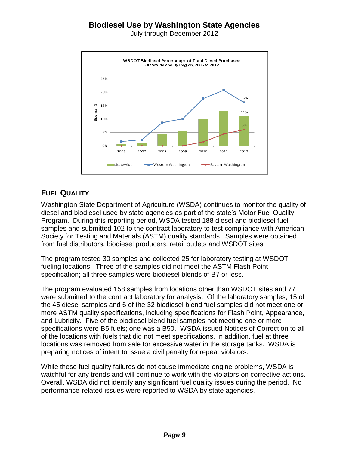July through December 2012



## **FUEL QUALITY**

Washington State Department of Agriculture (WSDA) continues to monitor the quality of diesel and biodiesel used by state agencies as part of the state's Motor Fuel Quality Program. During this reporting period, WSDA tested 188 diesel and biodiesel fuel samples and submitted 102 to the contract laboratory to test compliance with American Society for Testing and Materials (ASTM) quality standards. Samples were obtained from fuel distributors, biodiesel producers, retail outlets and WSDOT sites.

The program tested 30 samples and collected 25 for laboratory testing at WSDOT fueling locations. Three of the samples did not meet the ASTM Flash Point specification; all three samples were biodiesel blends of B7 or less.

The program evaluated 158 samples from locations other than WSDOT sites and 77 were submitted to the contract laboratory for analysis. Of the laboratory samples, 15 of the 45 diesel samples and 6 of the 32 biodiesel blend fuel samples did not meet one or more ASTM quality specifications, including specifications for Flash Point, Appearance, and Lubricity. Five of the biodiesel blend fuel samples not meeting one or more specifications were B5 fuels; one was a B50. WSDA issued Notices of Correction to all of the locations with fuels that did not meet specifications. In addition, fuel at three locations was removed from sale for excessive water in the storage tanks. WSDA is preparing notices of intent to issue a civil penalty for repeat violators.

While these fuel quality failures do not cause immediate engine problems, WSDA is watchful for any trends and will continue to work with the violators on corrective actions. Overall, WSDA did not identify any significant fuel quality issues during the period. No performance-related issues were reported to WSDA by state agencies.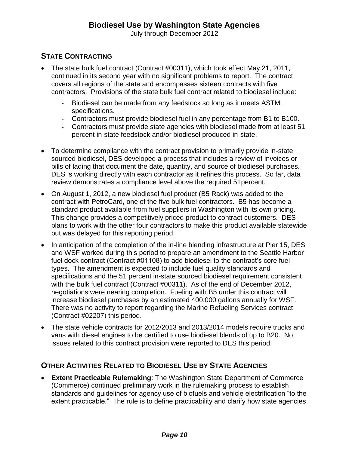July through December 2012

## **STATE CONTRACTING**

- The state bulk fuel contract (Contract #00311), which took effect May 21, 2011, continued in its second year with no significant problems to report. The contract covers all regions of the state and encompasses sixteen contracts with five contractors. Provisions of the state bulk fuel contract related to biodiesel include:
	- Biodiesel can be made from any feedstock so long as it meets ASTM specifications.
	- Contractors must provide biodiesel fuel in any percentage from B1 to B100.
	- Contractors must provide state agencies with biodiesel made from at least 51 percent in-state feedstock and/or biodiesel produced in-state.
- To determine compliance with the contract provision to primarily provide in-state sourced biodiesel, DES developed a process that includes a review of invoices or bills of lading that document the date, quantity, and source of biodiesel purchases. DES is working directly with each contractor as it refines this process. So far, data review demonstrates a compliance level above the required 51percent.
- On August 1, 2012, a new biodiesel fuel product (B5 Rack) was added to the contract with PetroCard, one of the five bulk fuel contractors. B5 has become a standard product available from fuel suppliers in Washington with its own pricing. This change provides a competitively priced product to contract customers. DES plans to work with the other four contractors to make this product available statewide but was delayed for this reporting period.
- In anticipation of the completion of the in-line blending infrastructure at Pier 15, DES and WSF worked during this period to prepare an amendment to the Seattle Harbor fuel dock contract (Contract #01108) to add biodiesel to the contract's core fuel types. The amendment is expected to include fuel quality standards and specifications and the 51 percent in-state sourced biodiesel requirement consistent with the bulk fuel contract (Contract #00311). As of the end of December 2012, negotiations were nearing completion. Fueling with B5 under this contract will increase biodiesel purchases by an estimated 400,000 gallons annually for WSF. There was no activity to report regarding the Marine Refueling Services contract (Contract #02207) this period.
- The state vehicle contracts for 2012/2013 and 2013/2014 models require trucks and vans with diesel engines to be certified to use biodiesel blends of up to B20. No issues related to this contract provision were reported to DES this period.

#### **OTHER ACTIVITIES RELATED TO BIODIESEL USE BY STATE AGENCIES**

 **Extent Practicable Rulemaking**: The Washington State Department of Commerce (Commerce) continued preliminary work in the rulemaking process to establish standards and guidelines for agency use of biofuels and vehicle electrification "to the extent practicable." The rule is to define practicability and clarify how state agencies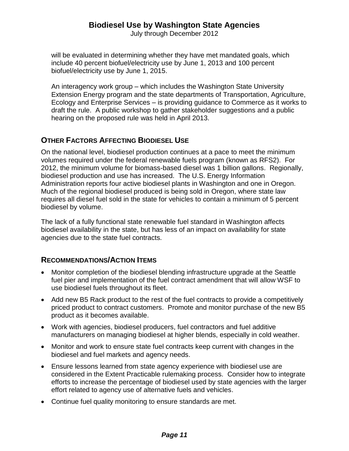July through December 2012

will be evaluated in determining whether they have met mandated goals, which include 40 percent biofuel/electricity use by June 1, 2013 and 100 percent biofuel/electricity use by June 1, 2015.

An interagency work group – which includes the Washington State University Extension Energy program and the state departments of Transportation, Agriculture, Ecology and Enterprise Services – is providing guidance to Commerce as it works to draft the rule. A public workshop to gather stakeholder suggestions and a public hearing on the proposed rule was held in April 2013.

#### **OTHER FACTORS AFFECTING BIODIESEL USE**

On the national level, biodiesel production continues at a pace to meet the minimum volumes required under the federal renewable fuels program (known as RFS2). For 2012, the minimum volume for biomass-based diesel was 1 billion gallons. Regionally, biodiesel production and use has increased. The U.S. Energy Information Administration reports four active biodiesel plants in Washington and one in Oregon. Much of the regional biodiesel produced is being sold in Oregon, where state law requires all diesel fuel sold in the state for vehicles to contain a minimum of 5 percent biodiesel by volume.

The lack of a fully functional state renewable fuel standard in Washington affects biodiesel availability in the state, but has less of an impact on availability for state agencies due to the state fuel contracts.

#### **RECOMMENDATIONS/ACTION ITEMS**

- Monitor completion of the biodiesel blending infrastructure upgrade at the Seattle fuel pier and implementation of the fuel contract amendment that will allow WSF to use biodiesel fuels throughout its fleet.
- Add new B5 Rack product to the rest of the fuel contracts to provide a competitively priced product to contract customers. Promote and monitor purchase of the new B5 product as it becomes available.
- Work with agencies, biodiesel producers, fuel contractors and fuel additive manufacturers on managing biodiesel at higher blends, especially in cold weather.
- Monitor and work to ensure state fuel contracts keep current with changes in the biodiesel and fuel markets and agency needs.
- Ensure lessons learned from state agency experience with biodiesel use are considered in the Extent Practicable rulemaking process. Consider how to integrate efforts to increase the percentage of biodiesel used by state agencies with the larger effort related to agency use of alternative fuels and vehicles.
- Continue fuel quality monitoring to ensure standards are met.